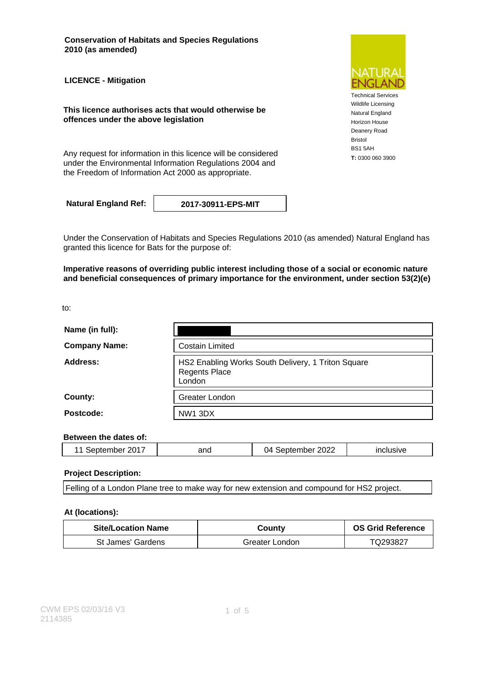**Conservation of Habitats and Species Regulations 2010 (as amended)**

**LICENCE - Mitigation**

**This licence authorises acts that would otherwise be offences under the above legislation**

Any request for information in this licence will be considered **T**: 0300 060 3900 under the Environmental Information Regulations 2004 and the Freedom of Information Act 2000 as appropriate.

**Natural England Ref: 2017-30911-EPS-MIT**

Under the Conservation of Habitats and Species Regulations 2010 (as amended) Natural England has granted this licence for Bats for the purpose of:

**Imperative reasons of overriding public interest including those of a social or economic nature and beneficial consequences of primary importance for the environment, under section 53(2)(e)**

to:

| Name (in full):      |                                                                                      |  |
|----------------------|--------------------------------------------------------------------------------------|--|
| <b>Company Name:</b> | <b>Costain Limited</b>                                                               |  |
| Address:             | HS2 Enabling Works South Delivery, 1 Triton Square<br><b>Regents Place</b><br>London |  |
| County:              | Greater London                                                                       |  |
| Postcode:            | NW1 3DX                                                                              |  |

#### **Between the dates of:**

| 2017<br>ι⊖ι<br>∼<br>∠∪ | and | 2022<br>14<br>nner | $-1$ $-1$<br>$-1V$ |
|------------------------|-----|--------------------|--------------------|
|                        |     |                    |                    |

#### **Project Description:**

Felling of a London Plane tree to make way for new extension and compound for HS2 project.

#### **At (locations):**

| <b>Site/Location Name</b> | Countv         | <b>OS Grid Reference</b> |
|---------------------------|----------------|--------------------------|
| St James' Gardens         | Greater London | TQ293827                 |



Technical Services Wildlife Licensing Natural England Horizon House Deanery Road Bristol BS1 5AH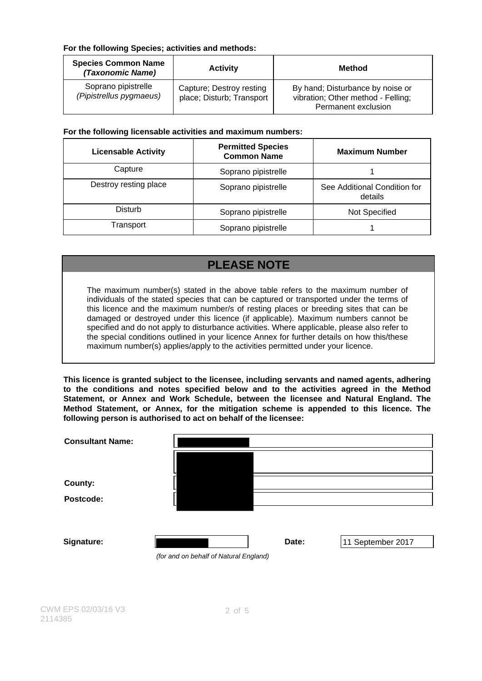### **For the following Species; activities and methods:**

| <b>Species Common Name</b><br>(Taxonomic Name) | <b>Activity</b>                                       | Method                                                                                        |
|------------------------------------------------|-------------------------------------------------------|-----------------------------------------------------------------------------------------------|
| Soprano pipistrelle<br>(Pipistrellus pygmaeus) | Capture; Destroy resting<br>place; Disturb; Transport | By hand; Disturbance by noise or<br>vibration; Other method - Felling;<br>Permanent exclusion |

### **For the following licensable activities and maximum numbers:**

| <b>Licensable Activity</b> | <b>Permitted Species</b><br><b>Common Name</b> | <b>Maximum Number</b>                   |
|----------------------------|------------------------------------------------|-----------------------------------------|
| Capture                    | Soprano pipistrelle                            |                                         |
| Destroy resting place      | Soprano pipistrelle                            | See Additional Condition for<br>details |
| Disturb                    | Soprano pipistrelle                            | Not Specified                           |
| Transport                  | Soprano pipistrelle                            |                                         |

# **PLEASE NOTE**

The maximum number(s) stated in the above table refers to the maximum number of individuals of the stated species that can be captured or transported under the terms of this licence and the maximum number/s of resting places or breeding sites that can be damaged or destroyed under this licence (if applicable). Maximum numbers cannot be specified and do not apply to disturbance activities. Where applicable, please also refer to the special conditions outlined in your licence Annex for further details on how this/these maximum number(s) applies/apply to the activities permitted under your licence.

**This licence is granted subject to the licensee, including servants and named agents, adhering to the conditions and notes specified below and to the activities agreed in the Method Statement, or Annex and Work Schedule, between the licensee and Natural England. The Method Statement, or Annex, for the mitigation scheme is appended to this licence. The following person is authorised to act on behalf of the licensee:**

| <b>Consultant Name:</b> |                                        |       |                   |
|-------------------------|----------------------------------------|-------|-------------------|
|                         |                                        |       |                   |
| County:                 |                                        |       |                   |
| Postcode:               |                                        |       |                   |
|                         |                                        |       |                   |
|                         |                                        |       |                   |
| Signature:              |                                        | Date: | 11 September 2017 |
|                         | (for and on behalf of Natural England) |       |                   |
|                         |                                        |       |                   |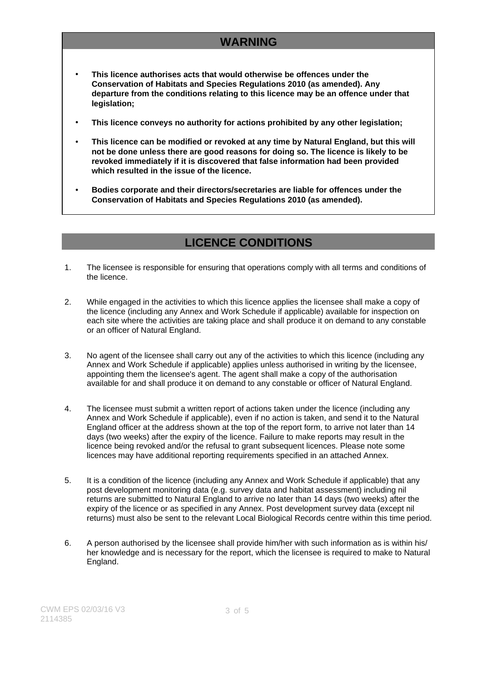# **WARNING**

- **This licence authorises acts that would otherwise be offences under the Conservation of Habitats and Species Regulations 2010 (as amended). Any departure from the conditions relating to this licence may be an offence under that legislation;**
- **This licence conveys no authority for actions prohibited by any other legislation;**
- **This licence can be modified or revoked at any time by Natural England, but this will not be done unless there are good reasons for doing so. The licence is likely to be revoked immediately if it is discovered that false information had been provided which resulted in the issue of the licence.**
- **Bodies corporate and their directors/secretaries are liable for offences under the Conservation of Habitats and Species Regulations 2010 (as amended).**

## **LICENCE CONDITIONS**

- 1. The licensee is responsible for ensuring that operations comply with all terms and conditions of the licence.
- 2. While engaged in the activities to which this licence applies the licensee shall make a copy of the licence (including any Annex and Work Schedule if applicable) available for inspection on each site where the activities are taking place and shall produce it on demand to any constable or an officer of Natural England.
- 3. No agent of the licensee shall carry out any of the activities to which this licence (including any Annex and Work Schedule if applicable) applies unless authorised in writing by the licensee, appointing them the licensee's agent. The agent shall make a copy of the authorisation available for and shall produce it on demand to any constable or officer of Natural England.
- 4. The licensee must submit a written report of actions taken under the licence (including any Annex and Work Schedule if applicable), even if no action is taken, and send it to the Natural England officer at the address shown at the top of the report form, to arrive not later than 14 days (two weeks) after the expiry of the licence. Failure to make reports may result in the licence being revoked and/or the refusal to grant subsequent licences. Please note some licences may have additional reporting requirements specified in an attached Annex.
- 5. It is a condition of the licence (including any Annex and Work Schedule if applicable) that any post development monitoring data (e.g. survey data and habitat assessment) including nil returns are submitted to Natural England to arrive no later than 14 days (two weeks) after the expiry of the licence or as specified in any Annex. Post development survey data (except nil returns) must also be sent to the relevant Local Biological Records centre within this time period.
- 6. A person authorised by the licensee shall provide him/her with such information as is within his/ her knowledge and is necessary for the report, which the licensee is required to make to Natural England.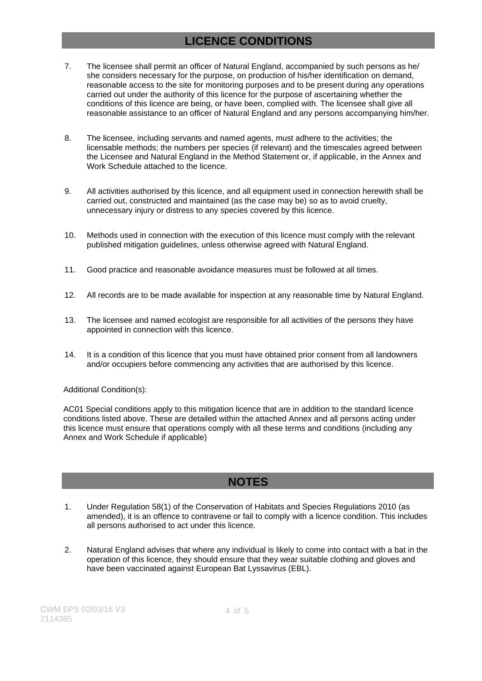## **LICENCE CONDITIONS**

- 7. The licensee shall permit an officer of Natural England, accompanied by such persons as he/ she considers necessary for the purpose, on production of his/her identification on demand, reasonable access to the site for monitoring purposes and to be present during any operations carried out under the authority of this licence for the purpose of ascertaining whether the conditions of this licence are being, or have been, complied with. The licensee shall give all reasonable assistance to an officer of Natural England and any persons accompanying him/her.
- 8. The licensee, including servants and named agents, must adhere to the activities; the licensable methods; the numbers per species (if relevant) and the timescales agreed between the Licensee and Natural England in the Method Statement or, if applicable, in the Annex and Work Schedule attached to the licence.
- 9. All activities authorised by this licence, and all equipment used in connection herewith shall be carried out, constructed and maintained (as the case may be) so as to avoid cruelty, unnecessary injury or distress to any species covered by this licence.
- 10. Methods used in connection with the execution of this licence must comply with the relevant published mitigation guidelines, unless otherwise agreed with Natural England.
- 11. Good practice and reasonable avoidance measures must be followed at all times.
- 12. All records are to be made available for inspection at any reasonable time by Natural England.
- 13. The licensee and named ecologist are responsible for all activities of the persons they have appointed in connection with this licence.
- 14. It is a condition of this licence that you must have obtained prior consent from all landowners and/or occupiers before commencing any activities that are authorised by this licence.

#### Additional Condition(s):

AC01 Special conditions apply to this mitigation licence that are in addition to the standard licence conditions listed above. These are detailed within the attached Annex and all persons acting under this licence must ensure that operations comply with all these terms and conditions (including any Annex and Work Schedule if applicable)

## **NOTES**

- 1. Under Regulation 58(1) of the Conservation of Habitats and Species Regulations 2010 (as amended), it is an offence to contravene or fail to comply with a licence condition. This includes all persons authorised to act under this licence.
- 2. Natural England advises that where any individual is likely to come into contact with a bat in the operation of this licence, they should ensure that they wear suitable clothing and gloves and have been vaccinated against European Bat Lyssavirus (EBL).